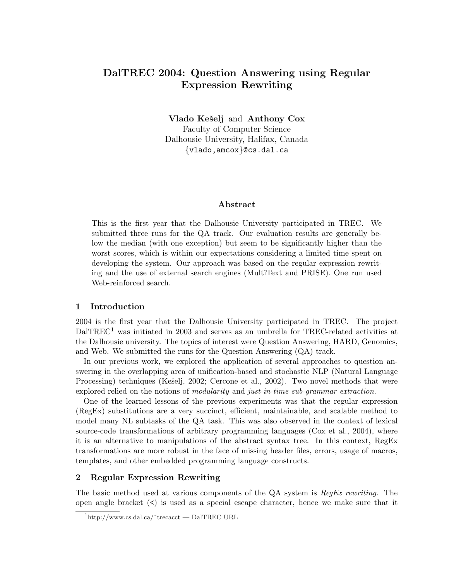# DalTREC 2004: Question Answering using Regular Expression Rewriting

Vlado Kešelj and Anthony Cox Faculty of Computer Science Dalhousie University, Halifax, Canada {vlado,amcox}@cs.dal.ca

#### Abstract

This is the first year that the Dalhousie University participated in TREC. We submitted three runs for the QA track. Our evaluation results are generally below the median (with one exception) but seem to be significantly higher than the worst scores, which is within our expectations considering a limited time spent on developing the system. Our approach was based on the regular expression rewriting and the use of external search engines (MultiText and PRISE). One run used Web-reinforced search.

#### 1 Introduction

2004 is the first year that the Dalhousie University participated in TREC. The project  $DaITREC<sup>1</sup>$  was initiated in 2003 and serves as an umbrella for TREC-related activities at the Dalhousie university. The topics of interest were Question Answering, HARD, Genomics, and Web. We submitted the runs for the Question Answering (QA) track.

In our previous work, we explored the application of several approaches to question answering in the overlapping area of unification-based and stochastic NLP (Natural Language Processing) techniques (Kešelj, 2002; Cercone et al., 2002). Two novel methods that were explored relied on the notions of modularity and just-in-time sub-grammar extraction.

One of the learned lessons of the previous experiments was that the regular expression (RegEx) substitutions are a very succinct, efficient, maintainable, and scalable method to model many NL subtasks of the QA task. This was also observed in the context of lexical source-code transformations of arbitrary programming languages (Cox et al., 2004), where it is an alternative to manipulations of the abstract syntax tree. In this context, RegEx transformations are more robust in the face of missing header files, errors, usage of macros, templates, and other embedded programming language constructs.

#### 2 Regular Expression Rewriting

The basic method used at various components of the QA system is RegEx rewriting. The open angle bracket  $(\le)$  is used as a special escape character, hence we make sure that it

 $1$ http://www.cs.dal.ca/~trecacct — DalTREC URL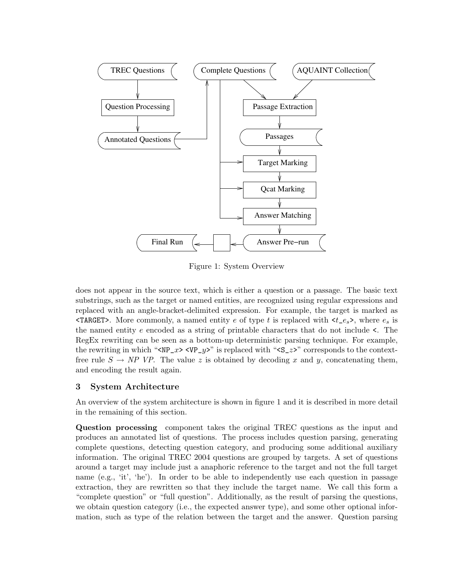

Figure 1: System Overview

does not appear in the source text, which is either a question or a passage. The basic text substrings, such as the target or named entities, are recognized using regular expressions and replaced with an angle-bracket-delimited expression. For example, the target is marked as **TARGET>.** More commonly, a named entity e of type t is replaced with  $\langle t \, e_s \rangle$ , where  $e_s$  is the named entity e encoded as a string of printable characters that do not include <. The RegEx rewriting can be seen as a bottom-up deterministic parsing technique. For example, the rewriting in which " $\times NP_2 \rightarrow \vee P_2 \rightarrow$ " is replaced with " $\times S_2 \rightarrow$ " corresponds to the contextfree rule  $S \to NP$  VP. The value z is obtained by decoding x and y, concatenating them, and encoding the result again.

### 3 System Architecture

An overview of the system architecture is shown in figure 1 and it is described in more detail in the remaining of this section.

Question processing component takes the original TREC questions as the input and produces an annotated list of questions. The process includes question parsing, generating complete questions, detecting question category, and producing some additional auxiliary information. The original TREC 2004 questions are grouped by targets. A set of questions around a target may include just a anaphoric reference to the target and not the full target name (e.g., 'it', 'he'). In order to be able to independently use each question in passage extraction, they are rewritten so that they include the target name. We call this form a "complete question" or "full question". Additionally, as the result of parsing the questions, we obtain question category (i.e., the expected answer type), and some other optional information, such as type of the relation between the target and the answer. Question parsing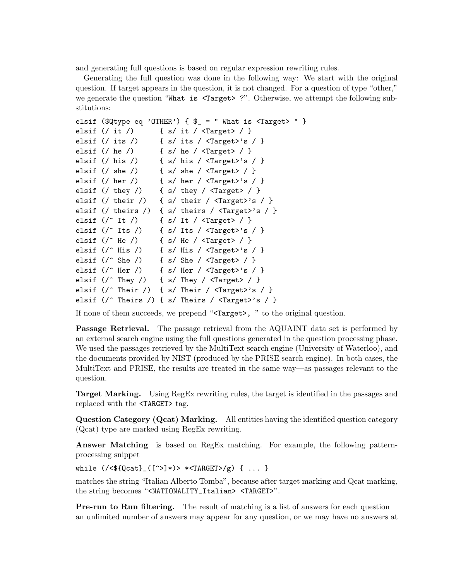and generating full questions is based on regular expression rewriting rules.

Generating the full question was done in the following way: We start with the original question. If target appears in the question, it is not changed. For a question of type "other," we generate the question "What is <Target> ?". Otherwise, we attempt the following substitutions:

```
elsif ($Qtype eq 'OTHER') { \= " What is <Target> " }
elsif \left(\frac{\ }{\ }</math> it <math>\right) { s/ it / <Target> / }
elsif \left(\frac{\ }{\ } its \frac{\ }{\ } \right\} \left\{ \frac{\ }{\ } s \frac{\ }{\ } \frac{\ }{\ } \frac{\ }{\ } \frac{\ }{\ } \frac{\ }{\ } \frac{\ }{\ } \frac{\ }{\ } \frac{\ }{\ } \frac{\ }{\ } \frac{\ }{\ } \frac{\ }{\ } \frac{\ }{\ } \frac{\ }{\ } \frac{\ }{\ } \frac{\ }{\ } \frac{\ }{\ } \frac{\ }{\ } \frac{\ }{\ } \frac{\ }{\ }elsif (/ he /) { s/ he / <Target> / }
elsif (/ his /) { s/ his / \langleTarget>'s / }
elsif (\frac{\ }{\sqrt{2}}) { s/ she / <Target> / }
elsif (/ her /) { s/ her / \langleTarget>'s / }
elsif (/ they /) { s/ they / <Target> / }
elsif (/ their /) { s/ their / \langleTarget>'s / }
elsif (/ theirs /) { s/ theirs / \langleTarget>'s / }
elsif (\text{'}\hat{i} \text{ } t) { s/ It / <Target> / }
elsif (\wedge^{\wedge} Its \wedge { s/ Its / <Target>'s / }
elsif (\wedge^{\wedge} He \wedge) { s/ He / <Target> / }
elsif (\wedge^{\wedge} His \wedge { s/ His / <Target>'s / }
elsif (\wedge^{\wedge} She /) { s/ She / <Target> / }
elsif \left(\frac{\cdot}{\cdot}\right) { s/ Her / <Target>'s / }
elsif \left(\frac{\ }{\ } They \frac{\ }{\ } \right) { s/ They \frac{\ }{\ } <Target > \frac{\ }{\ } }
elsif \left(\frac{\cdot}{\cdot}\right) Their / \left(\frac{\cdot}{\cdot}\right) arget>'s / }
elsif (/^ Theirs /) { s/ Theirs / <Target>'s / }
```
If none of them succeeds, we prepend "<Target>, " to the original question.

Passage Retrieval. The passage retrieval from the AQUAINT data set is performed by an external search engine using the full questions generated in the question processing phase. We used the passages retrieved by the MultiText search engine (University of Waterloo), and the documents provided by NIST (produced by the PRISE search engine). In both cases, the MultiText and PRISE, the results are treated in the same way—as passages relevant to the question.

Target Marking. Using RegEx rewriting rules, the target is identified in the passages and replaced with the <TARGET> tag.

Question Category (Qcat) Marking. All entities having the identified question category (Qcat) type are marked using RegEx rewriting.

Answer Matching is based on RegEx matching. For example, the following patternprocessing snippet

while  $(\sqrt{\sqrt{1-\frac{1}{2}}\cdot 1}) > \sqrt{\frac{1}{2}}$  (TARGET>/g) { ... }

matches the string "Italian Alberto Tomba", because after target marking and Qcat marking, the string becomes "<NATIONALITY\_Italian> <TARGET>".

**Pre-run to Run filtering.** The result of matching is a list of answers for each question an unlimited number of answers may appear for any question, or we may have no answers at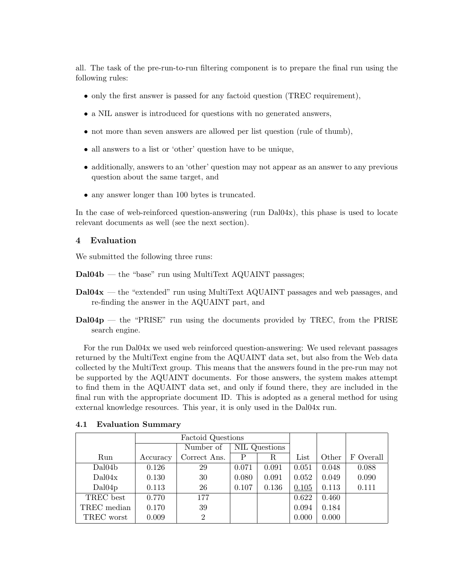all. The task of the pre-run-to-run filtering component is to prepare the final run using the following rules:

- only the first answer is passed for any factoid question (TREC requirement),
- a NIL answer is introduced for questions with no generated answers,
- not more than seven answers are allowed per list question (rule of thumb),
- all answers to a list or 'other' question have to be unique,
- additionally, answers to an 'other' question may not appear as an answer to any previous question about the same target, and
- any answer longer than 100 bytes is truncated.

In the case of web-reinforced question-answering (run Dal04x), this phase is used to locate relevant documents as well (see the next section).

### 4 Evaluation

We submitted the following three runs:

- Dal04b the "base" run using MultiText AQUAINT passages;
- Dal04x the "extended" run using MultiText AQUAINT passages and web passages, and re-finding the answer in the AQUAINT part, and
- $\text{Dal04p}$  the "PRISE" run using the documents provided by TREC, from the PRISE search engine.

For the run Dal04x we used web reinforced question-answering: We used relevant passages returned by the MultiText engine from the AQUAINT data set, but also from the Web data collected by the MultiText group. This means that the answers found in the pre-run may not be supported by the AQUAINT documents. For those answers, the system makes attempt to find them in the AQUAINT data set, and only if found there, they are included in the final run with the appropriate document ID. This is adopted as a general method for using external knowledge resources. This year, it is only used in the Dal04x run.

|             | Factoid Questions |                |               |       |       |       |           |
|-------------|-------------------|----------------|---------------|-------|-------|-------|-----------|
|             |                   | Number of      | NIL Questions |       |       |       |           |
| Run         | Accuracy          | Correct Ans.   | P             | R     | List  | Other | F Overall |
| Dal04b      | 0.126             | 29             | 0.071         | 0.091 | 0.051 | 0.048 | 0.088     |
| Dal04x      | 0.130             | 30             | 0.080         | 0.091 | 0.052 | 0.049 | 0.090     |
| Dal04p      | 0.113             | 26             | 0.107         | 0.136 | 0.105 | 0.113 | 0.111     |
| TREC best   | 0.770             | 177            |               |       | 0.622 | 0.460 |           |
| TREC median | 0.170             | 39             |               |       | 0.094 | 0.184 |           |
| TREC worst  | 0.009             | $\overline{2}$ |               |       | 0.000 | 0.000 |           |

#### 4.1 Evaluation Summary